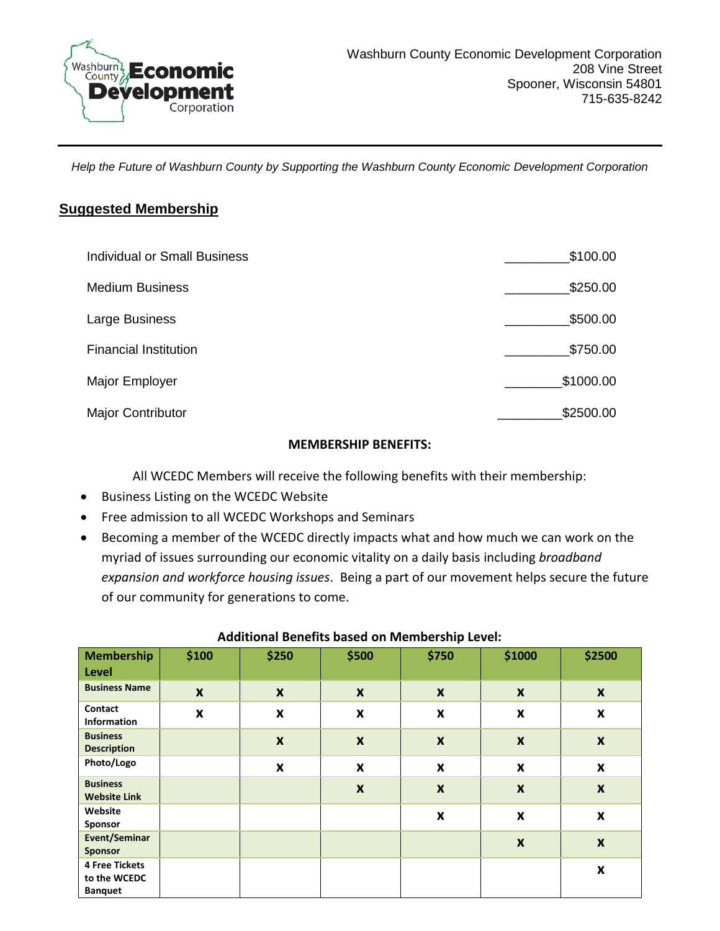

*Help the Future of Washburn County by Supporting the Washburn County Economic Development Corporation*

## **Suggested Membership**

| <b>Individual or Small Business</b> | \$100.00  |
|-------------------------------------|-----------|
| <b>Medium Business</b>              | \$250.00  |
| Large Business                      | \$500.00  |
| <b>Financial Institution</b>        | \$750.00  |
| Major Employer                      | \$1000.00 |
| <b>Major Contributor</b>            | \$2500.00 |

## **MEMBERSHIP BENEFITS:**

All WCEDC Members will receive the following benefits with their membership:

- Business Listing on the WCEDC Website
- Free admission to all WCEDC Workshops and Seminars
- Becoming a member of the WCEDC directly impacts what and how much we can work on the myriad of issues surrounding our economic vitality on a daily basis including *broadband expansion and workforce housing issues*. Being a part of our movement helps secure the future of our community for generations to come.

| <b>Membership</b><br>Level                              | \$100              | \$250                     | \$500                     | \$750              | \$1000                    | \$2500                    |
|---------------------------------------------------------|--------------------|---------------------------|---------------------------|--------------------|---------------------------|---------------------------|
| <b>Business Name</b>                                    | $\boldsymbol{x}$   | $\boldsymbol{x}$          | $\boldsymbol{x}$          | $\boldsymbol{x}$   | $\boldsymbol{x}$          | $\boldsymbol{x}$          |
| Contact<br><b>Information</b>                           | $\pmb{\mathsf{x}}$ | $\boldsymbol{\mathsf{x}}$ | $\boldsymbol{\mathsf{x}}$ | $\pmb{\mathsf{x}}$ | $\pmb{\mathsf{x}}$        | $\pmb{\mathsf{X}}$        |
| <b>Business</b><br><b>Description</b>                   |                    | $\boldsymbol{\mathsf{x}}$ | $\boldsymbol{\mathsf{X}}$ | $\pmb{\chi}$       | $\boldsymbol{\mathsf{x}}$ | $\pmb{\times}$            |
| Photo/Logo                                              |                    | X                         | $\boldsymbol{\mathsf{x}}$ | $\pmb{\mathsf{x}}$ | $\boldsymbol{\mathsf{x}}$ | $\pmb{\times}$            |
| <b>Business</b><br><b>Website Link</b>                  |                    |                           | $\boldsymbol{\mathsf{X}}$ | $\boldsymbol{x}$   | $\boldsymbol{\mathsf{x}}$ | $\boldsymbol{\mathsf{x}}$ |
| Website<br>Sponsor                                      |                    |                           |                           | $\pmb{\mathsf{x}}$ | $\pmb{\chi}$              | $\pmb{\mathsf{x}}$        |
| Event/Seminar<br><b>Sponsor</b>                         |                    |                           |                           |                    | $\boldsymbol{x}$          | $\boldsymbol{x}$          |
| <b>4 Free Tickets</b><br>to the WCEDC<br><b>Banquet</b> |                    |                           |                           |                    |                           | $\pmb{\mathsf{x}}$        |

## **Additional Benefits based on Membership Level:**